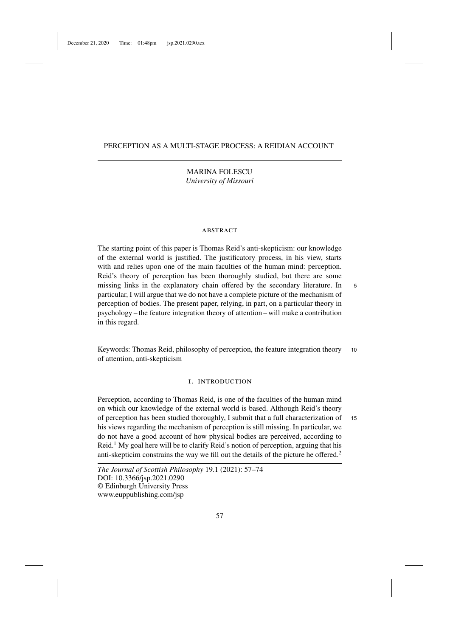# PERCEPTION AS A MULTI-STAGE PROCESS: A REIDIAN ACCOUNT

MARINA FOLESCU *University of Missouri*

# **ABSTRACT**

The starting point of this paper is Thomas Reid's anti-skepticism: our knowledge of the external world is justified. The justificatory process, in his view, starts with and relies upon one of the main faculties of the human mind: perception. Reid's theory of perception has been thoroughly studied, but there are some missing links in the explanatory chain offered by the secondary literature. In <sup>5</sup> particular, I will argue that we do not have a complete picture of the mechanism of perception of bodies. The present paper, relying, in part, on a particular theory in psychology – the feature integration theory of attention – will make a contribution in this regard.

Keywords: Thomas Reid, philosophy of perception, the feature integration theory 10 of attention, anti-skepticism

# 1. introduction

Perception, according to Thomas Reid, is one of the faculties of the human mind on which our knowledge of the external world is based. Although Reid's theory of perception has been studied thoroughly, I submit that a full characterization of <sup>15</sup> his views regarding the mechanism of perception is still missing. In particular, we do not have a good account of how physical bodies are perceived, according to  $\text{Reid.}^1$  My goal here will be to clarify Reid's notion of perception, arguing that his anti-skepticim constrains the way we fill out the details of the picture he offered.<sup>2</sup>

*The Journal of Scottish Philosophy* 19.1 (2021): 57–74 DOI: 10.3366/jsp.2021.0290 © Edinburgh University Press www.euppublishing.com/jsp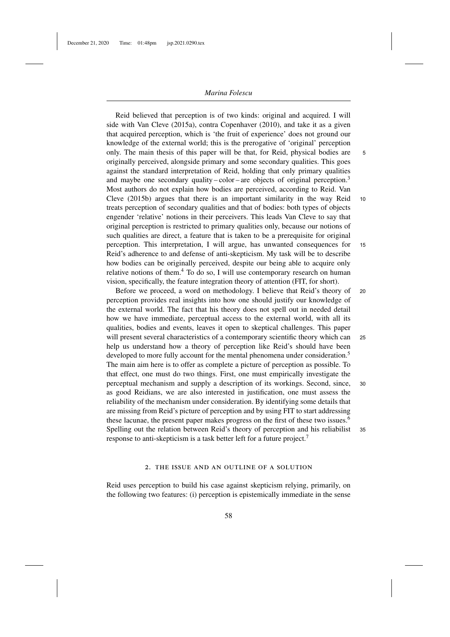Reid believed that perception is of two kinds: original and acquired. I will side with Van Cleve (2015a), contra Copenhaver (2010), and take it as a given that acquired perception, which is 'the fruit of experience' does not ground our knowledge of the external world; this is the prerogative of 'original' perception only. The main thesis of this paper will be that, for Reid, physical bodies are 5 originally perceived, alongside primary and some secondary qualities. This goes against the standard interpretation of Reid, holding that only primary qualities and maybe one secondary quality – color – are objects of original perception.<sup>3</sup> Most authors do not explain how bodies are perceived, according to Reid. Van Cleve (2015b) argues that there is an important similarity in the way Reid 10 treats perception of secondary qualities and that of bodies: both types of objects engender 'relative' notions in their perceivers. This leads Van Cleve to say that original perception is restricted to primary qualities only, because our notions of such qualities are direct, a feature that is taken to be a prerequisite for original perception. This interpretation, I will argue, has unwanted consequences for 15 Reid's adherence to and defense of anti-skepticism. My task will be to describe how bodies can be originally perceived, despite our being able to acquire only relative notions of them.<sup>4</sup> To do so, I will use contemporary research on human vision, specifically, the feature integration theory of attention (FIT, for short).

Before we proceed, a word on methodology. I believe that Reid's theory of <sup>20</sup> perception provides real insights into how one should justify our knowledge of the external world. The fact that his theory does not spell out in needed detail how we have immediate, perceptual access to the external world, with all its qualities, bodies and events, leaves it open to skeptical challenges. This paper will present several characteristics of a contemporary scientific theory which can <sup>25</sup> help us understand how a theory of perception like Reid's should have been developed to more fully account for the mental phenomena under consideration.<sup>5</sup> The main aim here is to offer as complete a picture of perception as possible. To that effect, one must do two things. First, one must empirically investigate the perceptual mechanism and supply a description of its workings. Second, since, <sup>30</sup> as good Reidians, we are also interested in justification, one must assess the reliability of the mechanism under consideration. By identifying some details that are missing from Reid's picture of perception and by using FIT to start addressing these lacunae, the present paper makes progress on the first of these two issues.<sup>6</sup> Spelling out the relation between Reid's theory of perception and his reliabilist <sup>35</sup> response to anti-skepticism is a task better left for a future project.7

# 2. the issue and an outline of a solution

Reid uses perception to build his case against skepticism relying, primarily, on the following two features: (i) perception is epistemically immediate in the sense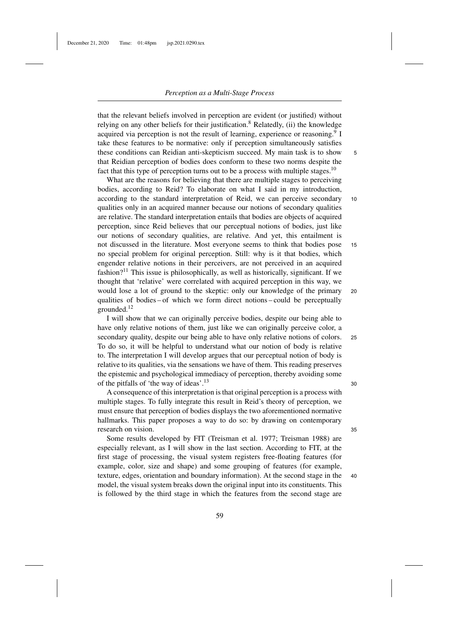December 21, 2020 Time: 01:48pm jsp.2021.0290.tex

that the relevant beliefs involved in perception are evident (or justified) without relying on any other beliefs for their justification.<sup>8</sup> Relatedly, (ii) the knowledge acquired via perception is not the result of learning, experience or reasoning.<sup>9</sup> I take these features to be normative: only if perception simultaneously satisfies these conditions can Reidian anti-skepticism succeed. My main task is to show 5 that Reidian perception of bodies does conform to these two norms despite the fact that this type of perception turns out to be a process with multiple stages.<sup>10</sup>

What are the reasons for believing that there are multiple stages to perceiving bodies, according to Reid? To elaborate on what I said in my introduction, according to the standard interpretation of Reid, we can perceive secondary 10 qualities only in an acquired manner because our notions of secondary qualities are relative. The standard interpretation entails that bodies are objects of acquired perception, since Reid believes that our perceptual notions of bodies, just like our notions of secondary qualities, are relative. And yet, this entailment is not discussed in the literature. Most everyone seems to think that bodies pose 15 no special problem for original perception. Still: why is it that bodies, which engender relative notions in their perceivers, are not perceived in an acquired fashion?<sup>11</sup> This issue is philosophically, as well as historically, significant. If we thought that 'relative' were correlated with acquired perception in this way, we would lose a lot of ground to the skeptic: only our knowledge of the primary 20 qualities of bodies – of which we form direct notions – could be perceptually grounded.12

I will show that we can originally perceive bodies, despite our being able to have only relative notions of them, just like we can originally perceive color, a secondary quality, despite our being able to have only relative notions of colors. <sup>25</sup> To do so, it will be helpful to understand what our notion of body is relative to. The interpretation I will develop argues that our perceptual notion of body is relative to its qualities, via the sensations we have of them. This reading preserves the epistemic and psychological immediacy of perception, thereby avoiding some of the pitfalls of 'the way of ideas'.<sup>13</sup>  $30$ 

A consequence of this interpretation is that original perception is a process with multiple stages. To fully integrate this result in Reid's theory of perception, we must ensure that perception of bodies displays the two aforementioned normative hallmarks. This paper proposes a way to do so: by drawing on contemporary research on vision. 35

Some results developed by FIT (Treisman et al. 1977; Treisman 1988) are especially relevant, as I will show in the last section. According to FIT, at the first stage of processing, the visual system registers free-floating features (for example, color, size and shape) and some grouping of features (for example, texture, edges, orientation and boundary information). At the second stage in the <sup>40</sup> model, the visual system breaks down the original input into its constituents. This is followed by the third stage in which the features from the second stage are

59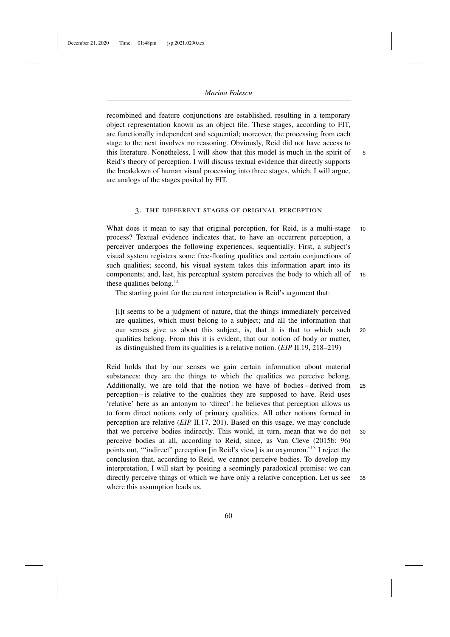recombined and feature conjunctions are established, resulting in a temporary object representation known as an object file. These stages, according to FIT, are functionally independent and sequential; moreover, the processing from each stage to the next involves no reasoning. Obviously, Reid did not have access to this literature. Nonetheless, I will show that this model is much in the spirit of 5 Reid's theory of perception. I will discuss textual evidence that directly supports the breakdown of human visual processing into three stages, which, I will argue, are analogs of the stages posited by FIT.

# 3. the different stages of original perception

What does it mean to say that original perception, for Reid, is a multi-stage 10 process? Textual evidence indicates that, to have an occurrent perception, a perceiver undergoes the following experiences, sequentially. First, a subject's visual system registers some free-floating qualities and certain conjunctions of such qualities; second, his visual system takes this information apart into its components; and, last, his perceptual system perceives the body to which all of <sup>15</sup> these qualities belong.<sup>14</sup>

The starting point for the current interpretation is Reid's argument that:

[i]t seems to be a judgment of nature, that the things immediately perceived are qualities, which must belong to a subject; and all the information that our senses give us about this subject, is, that it is that to which such <sup>20</sup> qualities belong. From this it is evident, that our notion of body or matter, as distinguished from its qualities is a relative notion. (*EIP* II.19, 218–219)

Reid holds that by our senses we gain certain information about material substances: they are the things to which the qualities we perceive belong. Additionally, we are told that the notion we have of bodies – derived from <sup>25</sup> perception – is relative to the qualities they are supposed to have. Reid uses 'relative' here as an antonym to 'direct': he believes that perception allows us to form direct notions only of primary qualities. All other notions formed in perception are relative (*EIP* II.17, 201). Based on this usage, we may conclude that we perceive bodies indirectly. This would, in turn, mean that we do not <sup>30</sup> perceive bodies at all, according to Reid, since, as Van Cleve (2015b: 96) points out, '"indirect" perception [in Reid's view] is an oxymoron.'15 I reject the conclusion that, according to Reid, we cannot perceive bodies. To develop my interpretation, I will start by positing a seemingly paradoxical premise: we can directly perceive things of which we have only a relative conception. Let us see <sup>35</sup> where this assumption leads us.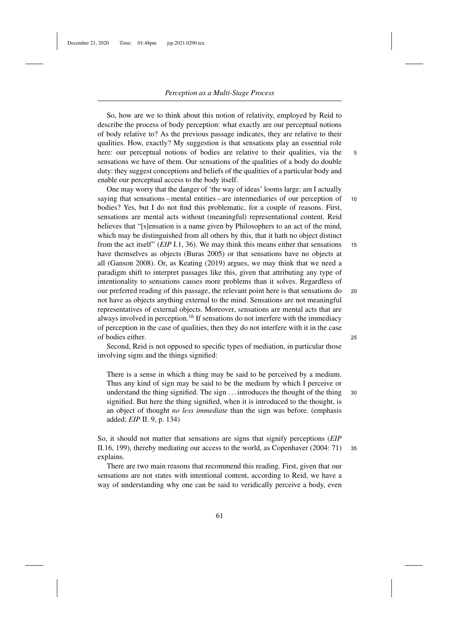So, how are we to think about this notion of relativity, employed by Reid to describe the process of body perception: what exactly are our perceptual notions of body relative to? As the previous passage indicates, they are relative to their qualities. How, exactly? My suggestion is that sensations play an essential role here: our perceptual notions of bodies are relative to their qualities, via the 5 sensations we have of them. Our sensations of the qualities of a body do double duty: they suggest conceptions and beliefs of the qualities of a particular body and enable our perceptual access to the body itself.

One may worry that the danger of 'the way of ideas' looms large: am I actually saying that sensations – mental entities – are intermediaries of our perception of 10 bodies? Yes, but I do not find this problematic, for a couple of reasons. First, sensations are mental acts without (meaningful) representational content. Reid believes that "[s]ensation is a name given by Philosophers to an act of the mind, which may be distinguished from all others by this, that it hath no object distinct from the act itself" (*EIP* I.1, 36). We may think this means either that sensations 15 have themselves as objects (Buras 2005) or that sensations have no objects at all (Ganson 2008). Or, as Keating (2019) argues, we may think that we need a paradigm shift to interpret passages like this, given that attributing any type of intentionality to sensations causes more problems than it solves. Regardless of our preferred reading of this passage, the relevant point here is that sensations do <sup>20</sup> not have as objects anything external to the mind. Sensations are not meaningful representatives of external objects. Moreover, sensations are mental acts that are always involved in perception.<sup>16</sup> If sensations do not interfere with the immediacy of perception in the case of qualities, then they do not interfere with it in the case of bodies either. <sup>25</sup>

Second, Reid is not opposed to specific types of mediation, in particular those involving signs and the things signified:

There is a sense in which a thing may be said to be perceived by a medium. Thus any kind of sign may be said to be the medium by which I perceive or understand the thing signified. The sign ... introduces the thought of the thing 30 signified. But here the thing signified, when it is introduced to the thought, is an object of thought *no less immediate* than the sign was before. (emphasis added; *EIP* II. 9, p. 134)

So, it should not matter that sensations are signs that signify perceptions (*EIP* II.16, 199), thereby mediating our access to the world, as Copenhaver (2004: 71) <sup>35</sup> explains.

There are two main reasons that recommend this reading. First, given that our sensations are not states with intentional content, according to Reid, we have a way of understanding why one can be said to veridically perceive a body, even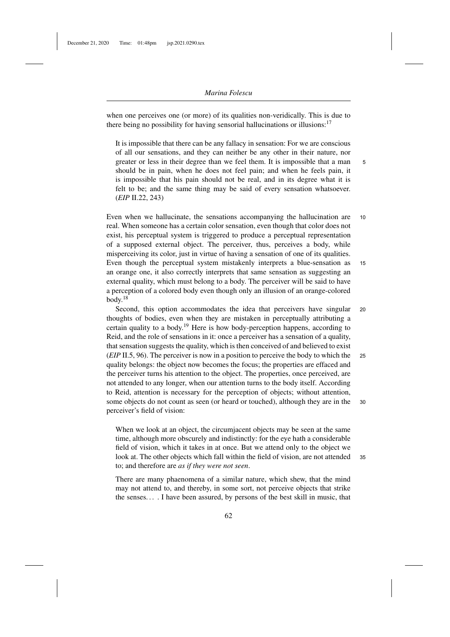when one perceives one (or more) of its qualities non-veridically. This is due to there being no possibility for having sensorial hallucinations or illusions:<sup>17</sup>

It is impossible that there can be any fallacy in sensation: For we are conscious of all our sensations, and they can neither be any other in their nature, nor greater or less in their degree than we feel them. It is impossible that a man 5 should be in pain, when he does not feel pain; and when he feels pain, it is impossible that his pain should not be real, and in its degree what it is felt to be; and the same thing may be said of every sensation whatsoever. (*EIP* II.22, 243)

Even when we hallucinate, the sensations accompanying the hallucination are 10 real. When someone has a certain color sensation, even though that color does not exist, his perceptual system is triggered to produce a perceptual representation of a supposed external object. The perceiver, thus, perceives a body, while misperceiving its color, just in virtue of having a sensation of one of its qualities. Even though the perceptual system mistakenly interprets a blue-sensation as <sup>15</sup> an orange one, it also correctly interprets that same sensation as suggesting an external quality, which must belong to a body. The perceiver will be said to have a perception of a colored body even though only an illusion of an orange-colored  $body.<sup>18</sup>$ 

Second, this option accommodates the idea that perceivers have singular 20 thoughts of bodies, even when they are mistaken in perceptually attributing a certain quality to a body.<sup>19</sup> Here is how body-perception happens, according to Reid, and the role of sensations in it: once a perceiver has a sensation of a quality, that sensation suggests the quality, which is then conceived of and believed to exist (*EIP* II.5, 96). The perceiver is now in a position to perceive the body to which the <sup>25</sup> quality belongs: the object now becomes the focus; the properties are effaced and the perceiver turns his attention to the object. The properties, once perceived, are not attended to any longer, when our attention turns to the body itself. According to Reid, attention is necessary for the perception of objects; without attention, some objects do not count as seen (or heard or touched), although they are in the <sup>30</sup> perceiver's field of vision:

When we look at an object, the circumjacent objects may be seen at the same time, although more obscurely and indistinctly: for the eye hath a considerable field of vision, which it takes in at once. But we attend only to the object we look at. The other objects which fall within the field of vision, are not attended <sup>35</sup> to; and therefore are *as if they were not seen*.

There are many phaenomena of a similar nature, which shew, that the mind may not attend to, and thereby, in some sort, not perceive objects that strike the senses. . . . I have been assured, by persons of the best skill in music, that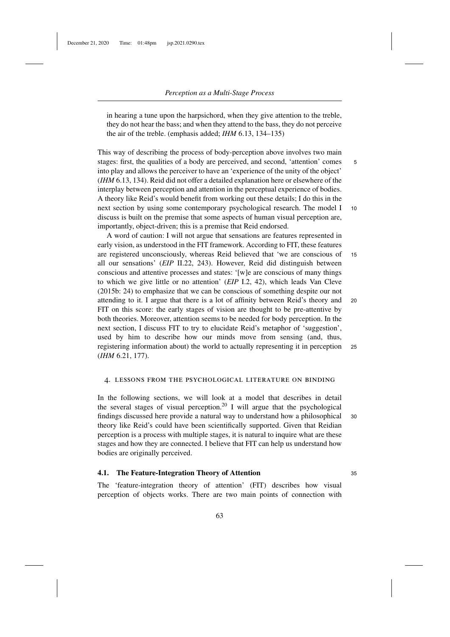in hearing a tune upon the harpsichord, when they give attention to the treble, they do not hear the bass; and when they attend to the bass, they do not perceive the air of the treble. (emphasis added; *IHM* 6.13, 134–135)

This way of describing the process of body-perception above involves two main stages: first, the qualities of a body are perceived, and second, 'attention' comes 5 into play and allows the perceiver to have an 'experience of the unity of the object' (*IHM* 6.13, 134). Reid did not offer a detailed explanation here or elsewhere of the interplay between perception and attention in the perceptual experience of bodies. A theory like Reid's would benefit from working out these details; I do this in the next section by using some contemporary psychological research. The model I 10 discuss is built on the premise that some aspects of human visual perception are, importantly, object-driven; this is a premise that Reid endorsed.

A word of caution: I will not argue that sensations are features represented in early vision, as understood in the FIT framework. According to FIT, these features are registered unconsciously, whereas Reid believed that 'we are conscious of <sup>15</sup> all our sensations' (*EIP* II.22, 243). However, Reid did distinguish between conscious and attentive processes and states: '[w]e are conscious of many things to which we give little or no attention' (*EIP* I.2, 42), which leads Van Cleve (2015b: 24) to emphasize that we can be conscious of something despite our not attending to it. I argue that there is a lot of affinity between Reid's theory and <sup>20</sup> FIT on this score: the early stages of vision are thought to be pre-attentive by both theories. Moreover, attention seems to be needed for body perception. In the next section, I discuss FIT to try to elucidate Reid's metaphor of 'suggestion', used by him to describe how our minds move from sensing (and, thus, registering information about) the world to actually representing it in perception <sup>25</sup> (*IHM* 6.21, 177).

#### 4. lessons from the psychological literature on binding

In the following sections, we will look at a model that describes in detail the several stages of visual perception.<sup>20</sup> I will argue that the psychological findings discussed here provide a natural way to understand how a philosophical <sup>30</sup> theory like Reid's could have been scientifically supported. Given that Reidian perception is a process with multiple stages, it is natural to inquire what are these stages and how they are connected. I believe that FIT can help us understand how bodies are originally perceived.

## **4.1. The Feature-Integration Theory of Attention** <sup>35</sup>

The 'feature-integration theory of attention' (FIT) describes how visual perception of objects works. There are two main points of connection with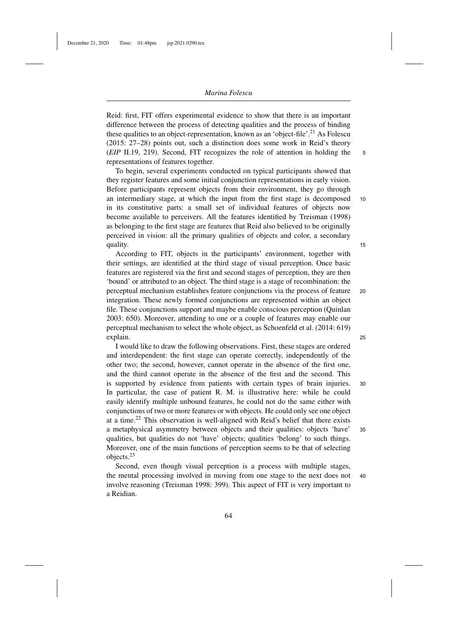Reid: first, FIT offers experimental evidence to show that there is an important difference between the process of detecting qualities and the process of binding these qualities to an object-representation, known as an 'object-file'.<sup>21</sup> As Folescu (2015: 27–28) points out, such a distinction does some work in Reid's theory (*EIP* II.19, 219). Second, FIT recognizes the role of attention in holding the <sup>5</sup> representations of features together.

To begin, several experiments conducted on typical participants showed that they register features and some initial conjunction representations in early vision. Before participants represent objects from their environment, they go through an intermediary stage, at which the input from the first stage is decomposed 10 in its constitutive parts: a small set of individual features of objects now become available to perceivers. All the features identified by Treisman (1998) as belonging to the first stage are features that Reid also believed to be originally perceived in vision: all the primary qualities of objects and color, a secondary quality. The contract of the contract of the contract of the contract of the contract of the contract of the contract of the contract of the contract of the contract of the contract of the contract of the contract of the c

According to FIT, objects in the participants' environment, together with their settings, are identified at the third stage of visual perception. Once basic features are registered via the first and second stages of perception, they are then 'bound' or attributed to an object. The third stage is a stage of recombination: the perceptual mechanism establishes feature conjunctions via the process of feature <sup>20</sup> integration. These newly formed conjunctions are represented within an object file. These conjunctions support and maybe enable conscious perception (Quinlan 2003: 650). Moreover, attending to one or a couple of features may enable our perceptual mechanism to select the whole object, as Schoenfeld et al. (2014: 619) explain. 25

I would like to draw the following observations. First, these stages are ordered and interdependent: the first stage can operate correctly, independently of the other two; the second, however, cannot operate in the absence of the first one, and the third cannot operate in the absence of the first and the second. This is supported by evidence from patients with certain types of brain injuries. <sup>30</sup> In particular, the case of patient R. M. is illustrative here: while he could easily identify multiple unbound features, he could not do the same either with conjunctions of two or more features or with objects. He could only see one object at a time.<sup>22</sup> This observation is well-aligned with Reid's belief that there exists a metaphysical asymmetry between objects and their qualities: objects 'have' <sup>35</sup> qualities, but qualities do not 'have' objects; qualities 'belong' to such things. Moreover, one of the main functions of perception seems to be that of selecting objects.<sup>23</sup>

Second, even though visual perception is a process with multiple stages, the mental processing involved in moving from one stage to the next does not <sup>40</sup> involve reasoning (Treisman 1998: 399). This aspect of FIT is very important to a Reidian.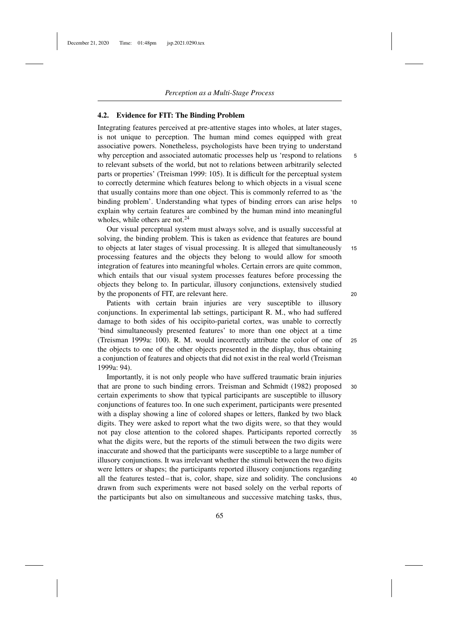# **4.2. Evidence for FIT: The Binding Problem**

Integrating features perceived at pre-attentive stages into wholes, at later stages, is not unique to perception. The human mind comes equipped with great associative powers. Nonetheless, psychologists have been trying to understand why perception and associated automatic processes help us 'respond to relations 5 to relevant subsets of the world, but not to relations between arbitrarily selected parts or properties' (Treisman 1999: 105). It is difficult for the perceptual system to correctly determine which features belong to which objects in a visual scene that usually contains more than one object. This is commonly referred to as 'the binding problem'. Understanding what types of binding errors can arise helps 10 explain why certain features are combined by the human mind into meaningful wholes, while others are not.<sup>24</sup>

Our visual perceptual system must always solve, and is usually successful at solving, the binding problem. This is taken as evidence that features are bound to objects at later stages of visual processing. It is alleged that simultaneously 15 processing features and the objects they belong to would allow for smooth integration of features into meaningful wholes. Certain errors are quite common, which entails that our visual system processes features before processing the objects they belong to. In particular, illusory conjunctions, extensively studied by the proponents of FIT, are relevant here. 20

Patients with certain brain injuries are very susceptible to illusory conjunctions. In experimental lab settings, participant R. M., who had suffered damage to both sides of his occipito-parietal cortex, was unable to correctly 'bind simultaneously presented features' to more than one object at a time (Treisman 1999a: 100). R. M. would incorrectly attribute the color of one of <sup>25</sup> the objects to one of the other objects presented in the display, thus obtaining a conjunction of features and objects that did not exist in the real world (Treisman 1999a: 94).

Importantly, it is not only people who have suffered traumatic brain injuries that are prone to such binding errors. Treisman and Schmidt (1982) proposed <sup>30</sup> certain experiments to show that typical participants are susceptible to illusory conjunctions of features too. In one such experiment, participants were presented with a display showing a line of colored shapes or letters, flanked by two black digits. They were asked to report what the two digits were, so that they would not pay close attention to the colored shapes. Participants reported correctly <sup>35</sup> what the digits were, but the reports of the stimuli between the two digits were inaccurate and showed that the participants were susceptible to a large number of illusory conjunctions. It was irrelevant whether the stimuli between the two digits were letters or shapes; the participants reported illusory conjunctions regarding all the features tested – that is, color, shape, size and solidity. The conclusions <sup>40</sup> drawn from such experiments were not based solely on the verbal reports of the participants but also on simultaneous and successive matching tasks, thus,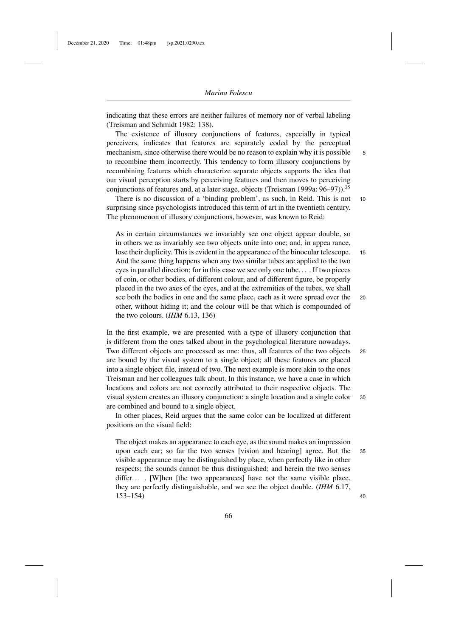indicating that these errors are neither failures of memory nor of verbal labeling (Treisman and Schmidt 1982: 138).

The existence of illusory conjunctions of features, especially in typical perceivers, indicates that features are separately coded by the perceptual mechanism, since otherwise there would be no reason to explain why it is possible  $\overline{5}$ to recombine them incorrectly. This tendency to form illusory conjunctions by recombining features which characterize separate objects supports the idea that our visual perception starts by perceiving features and then moves to perceiving conjunctions of features and, at a later stage, objects (Treisman 1999a: 96–97)).25

There is no discussion of a 'binding problem', as such, in Reid. This is not 10 surprising since psychologists introduced this term of art in the twentieth century. The phenomenon of illusory conjunctions, however, was known to Reid:

As in certain circumstances we invariably see one object appear double, so in others we as invariably see two objects unite into one; and, in appea rance, lose their duplicity. This is evident in the appearance of the binocular telescope. 15 And the same thing happens when any two similar tubes are applied to the two eyes in parallel direction; for in this case we see only one tube. . . . If two pieces of coin, or other bodies, of different colour, and of different figure, be properly placed in the two axes of the eyes, and at the extremities of the tubes, we shall see both the bodies in one and the same place, each as it were spread over the <sup>20</sup> other, without hiding it; and the colour will be that which is compounded of the two colours. (*IHM* 6.13, 136)

In the first example, we are presented with a type of illusory conjunction that is different from the ones talked about in the psychological literature nowadays. Two different objects are processed as one: thus, all features of the two objects <sup>25</sup> are bound by the visual system to a single object; all these features are placed into a single object file, instead of two. The next example is more akin to the ones Treisman and her colleagues talk about. In this instance, we have a case in which locations and colors are not correctly attributed to their respective objects. The visual system creates an illusory conjunction: a single location and a single color <sup>30</sup> are combined and bound to a single object.

In other places, Reid argues that the same color can be localized at different positions on the visual field:

The object makes an appearance to each eye, as the sound makes an impression upon each ear; so far the two senses [vision and hearing] agree. But the <sup>35</sup> visible appearance may be distinguished by place, when perfectly like in other respects; the sounds cannot be thus distinguished; and herein the two senses differ.... [W]hen [the two appearances] have not the same visible place, they are perfectly distinguishable, and we see the object double. (*IHM* 6.17, 153–154) <sup>40</sup>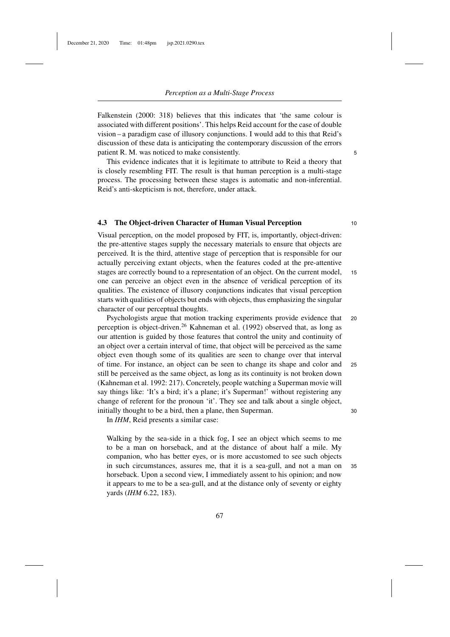Falkenstein (2000: 318) believes that this indicates that 'the same colour is associated with different positions'. This helps Reid account for the case of double vision – a paradigm case of illusory conjunctions. I would add to this that Reid's discussion of these data is anticipating the contemporary discussion of the errors patient R. M. was noticed to make consistently. 5

This evidence indicates that it is legitimate to attribute to Reid a theory that is closely resembling FIT. The result is that human perception is a multi-stage process. The processing between these stages is automatic and non-inferential. Reid's anti-skepticism is not, therefore, under attack.

# **4.3 The Object-driven Character of Human Visual Perception** <sup>10</sup>

Visual perception, on the model proposed by FIT, is, importantly, object-driven: the pre-attentive stages supply the necessary materials to ensure that objects are perceived. It is the third, attentive stage of perception that is responsible for our actually perceiving extant objects, when the features coded at the pre-attentive stages are correctly bound to a representation of an object. On the current model, <sup>15</sup> one can perceive an object even in the absence of veridical perception of its qualities. The existence of illusory conjunctions indicates that visual perception starts with qualities of objects but ends with objects, thus emphasizing the singular character of our perceptual thoughts.

Psychologists argue that motion tracking experiments provide evidence that <sup>20</sup> perception is object-driven.<sup>26</sup> Kahneman et al. (1992) observed that, as long as our attention is guided by those features that control the unity and continuity of an object over a certain interval of time, that object will be perceived as the same object even though some of its qualities are seen to change over that interval of time. For instance, an object can be seen to change its shape and color and <sup>25</sup> still be perceived as the same object, as long as its continuity is not broken down (Kahneman et al. 1992: 217). Concretely, people watching a Superman movie will say things like: 'It's a bird; it's a plane; it's Superman!' without registering any change of referent for the pronoun 'it'. They see and talk about a single object, initially thought to be a bird, then a plane, then Superman. 30

In *IHM*, Reid presents a similar case:

Walking by the sea-side in a thick fog, I see an object which seems to me to be a man on horseback, and at the distance of about half a mile. My companion, who has better eyes, or is more accustomed to see such objects in such circumstances, assures me, that it is a sea-gull, and not a man on <sup>35</sup> horseback. Upon a second view, I immediately assent to his opinion; and now it appears to me to be a sea-gull, and at the distance only of seventy or eighty yards (*IHM* 6.22, 183).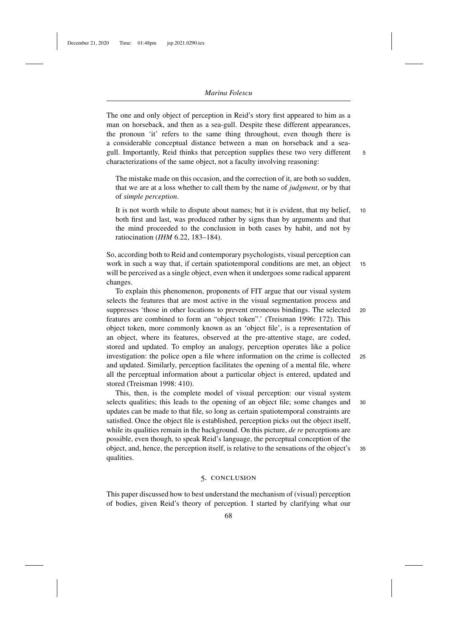The one and only object of perception in Reid's story first appeared to him as a man on horseback, and then as a sea-gull. Despite these different appearances, the pronoun 'it' refers to the same thing throughout, even though there is a considerable conceptual distance between a man on horseback and a seagull. Importantly, Reid thinks that perception supplies these two very different 5 characterizations of the same object, not a faculty involving reasoning:

The mistake made on this occasion, and the correction of it, are both so sudden, that we are at a loss whether to call them by the name of *judgment*, or by that of *simple perception*.

It is not worth while to dispute about names; but it is evident, that my belief, 10 both first and last, was produced rather by signs than by arguments and that the mind proceeded to the conclusion in both cases by habit, and not by ratiocination (*IHM* 6.22, 183–184).

So, according both to Reid and contemporary psychologists, visual perception can work in such a way that, if certain spatiotemporal conditions are met, an object 15 will be perceived as a single object, even when it undergoes some radical apparent changes.

To explain this phenomenon, proponents of FIT argue that our visual system selects the features that are most active in the visual segmentation process and suppresses 'those in other locations to prevent erroneous bindings. The selected <sup>20</sup> features are combined to form an "object token".' (Treisman 1996: 172). This object token, more commonly known as an 'object file', is a representation of an object, where its features, observed at the pre-attentive stage, are coded, stored and updated. To employ an analogy, perception operates like a police investigation: the police open a file where information on the crime is collected <sup>25</sup> and updated. Similarly, perception facilitates the opening of a mental file, where all the perceptual information about a particular object is entered, updated and stored (Treisman 1998: 410).

This, then, is the complete model of visual perception: our visual system selects qualities; this leads to the opening of an object file; some changes and 30 updates can be made to that file, so long as certain spatiotemporal constraints are satisfied. Once the object file is established, perception picks out the object itself, while its qualities remain in the background. On this picture, *de re* perceptions are possible, even though, to speak Reid's language, the perceptual conception of the object, and, hence, the perception itself, is relative to the sensations of the object's <sup>35</sup> qualities.

# 5. conclusion

This paper discussed how to best understand the mechanism of (visual) perception of bodies, given Reid's theory of perception. I started by clarifying what our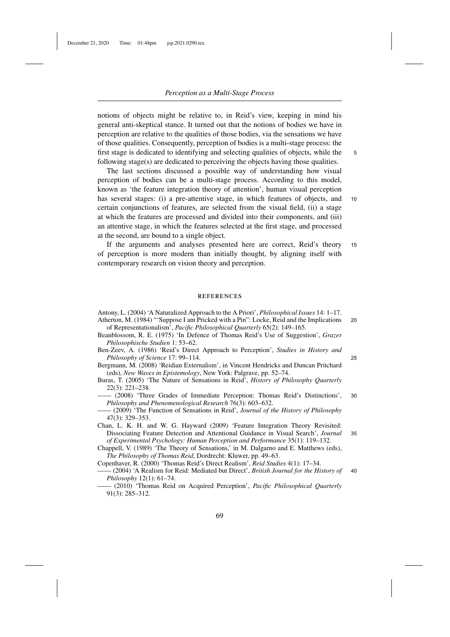notions of objects might be relative to, in Reid's view, keeping in mind his general anti-skeptical stance. It turned out that the notions of bodies we have in perception are relative to the qualities of those bodies, via the sensations we have of those qualities. Consequently, perception of bodies is a multi-stage process: the first stage is dedicated to identifying and selecting qualities of objects, while the 5 following stage(s) are dedicated to perceiving the objects having those qualities.

The last sections discussed a possible way of understanding how visual perception of bodies can be a multi-stage process. According to this model, known as 'the feature integration theory of attention', human visual perception has several stages: (i) a pre-attentive stage, in which features of objects, and 10 certain conjunctions of features, are selected from the visual field, (ii) a stage at which the features are processed and divided into their components, and (iii) an attentive stage, in which the features selected at the first stage, and processed at the second, are bound to a single object.

If the arguments and analyses presented here are correct, Reid's theory 15 of perception is more modern than initially thought, by aligning itself with contemporary research on vision theory and perception.

# **REFERENCES**

Antony, L. (2004) 'A Naturalized Approach to the A Priori', *Philosophical Issues* 14: 1–17. Atherton, M. (1984) "'Suppose I am Pricked with a Pin": Locke, Reid and the Implications 20 of Representationalism', *Pacific Philosophical Quarterly* 65(2): 149–165.

- Beanblossom, R. E. (1975) 'In Defence of Thomas Reid's Use of Suggestion', *Grazer Philosophische Studien* 1: 53–62.
- Ben-Zeev, A. (1986) 'Reid's Direct Approach to Perception', *Studies in History and Philosophy of Science* 17: 99–114. 25
- Bergmann, M. (2008) 'Reidian Externalism', in Vincent Hendricks and Duncan Pritchard (eds), *New Waves in Epistemology*, New York: Palgrave, pp. 52–74.
- Buras, T. (2005) 'The Nature of Sensations in Reid', *History of Philosophy Quarterly* 22(3): 221–238.
- —— (2008) 'Three Grades of Immediate Perception: Thomas Reid's Distinctions', 30 *Philosophy and Phenomenological Research* 76(3): 603–632.

—— (2009) 'The Function of Sensations in Reid', *Journal of the History of Philosophy* 47(3): 329–353.

Chan, L. K. H. and W. G. Hayward (2009) 'Feature Integration Theory Revisited: Dissociating Feature Detection and Attentional Guidance in Visual Search', *Journal* 35 *of Experimental Psychology: Human Perception and Performance* 35(1): 119–132.

Chappell, V. (1989) 'The Theory of Sensations,' in M. Dalgarno and E. Matthews (eds), *The Philosophy of Thomas Reid*, Dordrecht: Kluwer, pp. 49–63.

Copenhaver, R. (2000) 'Thomas Reid's Direct Realism', *Reid Studies* 4(1): 17–34.

—— (2004) 'A Realism for Reid: Mediated but Direct', *British Journal for the History of* 40 *Philosophy* 12(1): 61–74.

—— (2010) 'Thomas Reid on Acquired Perception', *Pacific Philosophical Quarterly* 91(3): 285–312.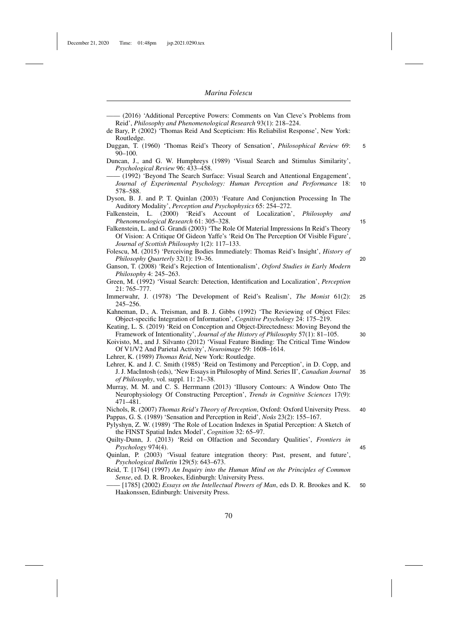Dyson, B. J. and P. T. Quinlan (2003) 'Feature And Conjunction Processing In The Auditory Modality', *Perception and Psychophysics* 65: 254–272.

Kahneman, D., A. Treisman, and B. J. Gibbs (1992) 'The Reviewing of Object Files: Object-specific Integration of Information', *Cognitive Psychology* 24: 175–219.

Keating, L. S. (2019) 'Reid on Conception and Object-Directedness: Moving Beyond the Framework of Intentionality', *Journal of the History of Philosophy* 57(1): 81–105. 30

Lehrer, K. (1989) *Thomas Reid*, New York: Routledge.

Nichols, R. (2007) *Thomas Reid's Theory of Perception*, Oxford: Oxford University Press. 40 Pappas, G. S. (1989) 'Sensation and Perception in Reid', *Noûs* 23(2): 155–167.

Pylyshyn, Z. W. (1989) 'The Role of Location Indexes in Spatial Perception: A Sketch of the FINST Spatial Index Model', *Cognition* 32: 65–97.

Quilty-Dunn, J. (2013) 'Reid on Olfaction and Secondary Qualities', *Frontiers in Psychology* 974(4). 45

Quinlan, P. (2003) 'Visual feature integration theory: Past, present, and future', *Psychological Bulletin* 129(5): 643–673.

Reid, T. [1764] (1997) *An Inquiry into the Human Mind on the Principles of Common Sense*, ed. D. R. Brookes, Edinburgh: University Press.

—— [1785] (2002) *Essays on the Intellectual Powers of Man*, eds D. R. Brookes and K. 50 Haakonssen, Edinburgh: University Press.

<sup>—— (2016) &#</sup>x27;Additional Perceptive Powers: Comments on Van Cleve's Problems from Reid', *Philosophy and Phenomenological Research* 93(1): 218–224.

de Bary, P. (2002) 'Thomas Reid And Scepticism: His Reliabilist Response', New York: Routledge.

Duggan, T. (1960) 'Thomas Reid's Theory of Sensation', *Philosophical Review* 69: 5 90–100.

Duncan, J., and G. W. Humphreys (1989) 'Visual Search and Stimulus Similarity', *Psychological Review* 96: 433–458.

<sup>- (1992) &#</sup>x27;Beyond The Search Surface: Visual Search and Attentional Engagement', *Journal of Experimental Psychology: Human Perception and Performance* 18: 10 578–588.

Falkenstein, L. (2000) 'Reid's Account of Localization', *Philosophy and Phenomenological Research* 61: 305–328. 15

Falkenstein, L. and G. Grandi (2003) 'The Role Of Material Impressions In Reid's Theory Of Vision: A Critique Of Gideon Yaffe's 'Reid On The Perception Of Visible Figure', *Journal of Scottish Philosophy* 1(2): 117–133.

Folescu, M. (2015) 'Perceiving Bodies Immediately: Thomas Reid's Insight', *History of Philosophy Quarterly* 32(1): 19–36. 20

Ganson, T. (2008) 'Reid's Rejection of Intentionalism', *Oxford Studies in Early Modern Philosophy* 4: 245–263.

Green, M. (1992) 'Visual Search: Detection, Identification and Localization', *Perception* 21: 765–777.

Immerwahr, J. (1978) 'The Development of Reid's Realism', *The Monist* 61(2): 25 245–256.

Koivisto, M., and J. Silvanto (2012) 'Visual Feature Binding: The Critical Time Window Of V1/V2 And Parietal Activity', *Neuroimage* 59: 1608–1614.

Lehrer, K. and J. C. Smith (1985) 'Reid on Testimony and Perception', in D. Copp, and J. J. MacIntosh (eds), 'New Essays in Philosophy of Mind. Series II', *Canadian Journal* 35 *of Philosophy*, vol. suppl. 11: 21–38.

Murray, M. M. and C. S. Herrmann (2013) 'Illusory Contours: A Window Onto The Neurophysiology Of Constructing Perception', *Trends in Cognitive Sciences* 17(9): 471–481.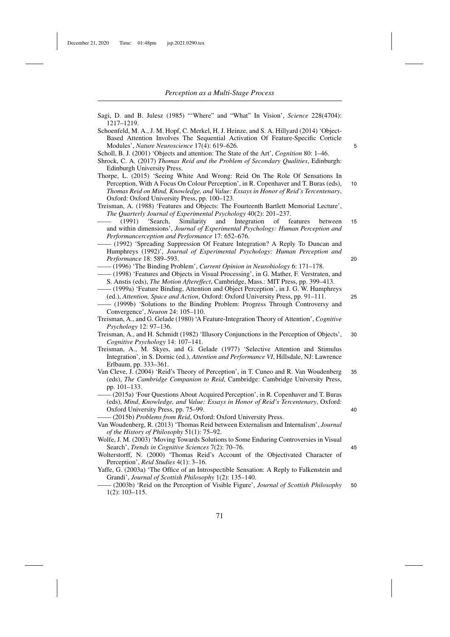| Sagi, D. and B. Julesz (1985) "'Where" and "What" In Vision', Science 228(4704):<br>1217-1219.                                                                                                                                                                |    |
|---------------------------------------------------------------------------------------------------------------------------------------------------------------------------------------------------------------------------------------------------------------|----|
| Schoenfeld, M. A., J. M. Hopf, C. Merkel, H. J. Heinze, and S. A. Hillyard (2014) 'Object-<br>Based Attention Involves The Sequential Activation Of Feature-Specific Corticle<br>Modules', Nature Neuroscience 17(4): 619–626.                                | 5  |
| Scholl, B. J. (2001) 'Objects and attention: The State of the Art', <i>Cognition</i> 80: 1–46.<br>Shrock, C. A. (2017) Thomas Reid and the Problem of Secondary Qualities, Edinburgh:                                                                         |    |
| Edinburgh University Press.<br>Thorpe, L. (2015) 'Seeing White And Wrong: Reid On The Role Of Sensations In                                                                                                                                                   |    |
| Perception, With A Focus On Colour Perception', in R. Copenhaver and T. Buras (eds),<br>Thomas Reid on Mind, Knowledge, and Value: Essays in Honor of Reid's Tercentenary,<br>Oxford: Oxford University Press, pp. 100–123.                                   | 10 |
| Treisman, A. (1988) 'Features and Objects: The Fourteenth Bartlett Memorial Lecture',<br>The Quarterly Journal of Experimental Psychology 40(2): 201-237.                                                                                                     |    |
| 'Search,<br>Similarity<br>and<br>Integration<br>of<br>features<br>(1991)<br>between<br>and within dimensions', Journal of Experimental Psychology: Human Perception and                                                                                       | 15 |
| Performancerception and Performance 17: 652–676.<br>- (1992) 'Spreading Suppression Of Feature Integration? A Reply To Duncan and                                                                                                                             |    |
| Humphreys (1992)', Journal of Experimental Psychology: Human Perception and<br>Performance 18: 589-593.                                                                                                                                                       | 20 |
| $-$ (1996) 'The Binding Problem', Current Opinion in Neurobiology 6: 171–178.<br>- (1998) 'Features and Objects in Visual Processing', in G. Mather, F. Verstraten, and<br>S. Anstis (eds), The Motion Aftereffect, Cambridge, Mass.: MIT Press, pp. 399-413. |    |
| - (1999a) 'Feature Binding, Attention and Object Perception', in J. G. W. Humphreys<br>(ed.), Attention, Space and Action, Oxford: Oxford University Press, pp. 91-111.<br>- (1999b) 'Solutions to the Binding Problem: Progress Through Controversy and      | 25 |
| Convergence', Neuron 24: 105-110.<br>Treisman, A., and G. Gelade (1980) 'A Feature-Integration Theory of Attention', Cognitive<br><i>Psychology</i> 12: $97-136$ .                                                                                            |    |
| Treisman, A., and H. Schmidt (1982) 'Illusory Conjunctions in the Perception of Objects',<br>Cognitive Psychology 14: 107-141.                                                                                                                                | 30 |
| Treisman, A., M. Skyes, and G. Gelade (1977) 'Selective Attention and Stimulus<br>Integration', in S. Dornic (ed.), Attention and Performance VI, Hillsdale, NJ: Lawrence<br>Erlbaum, pp. 333–361.                                                            |    |
| Van Cleve, J. (2004) 'Reid's Theory of Perception', in T. Cuneo and R. Van Woudenberg<br>(eds), The Cambridge Companion to Reid, Cambridge: Cambridge University Press,<br>pp. 101–133.                                                                       | 35 |
| - (2015a) 'Four Questions About Acquired Perception', in R. Copenhaver and T. Buras<br>(eds), Mind, Knowledge, and Value: Essays in Honor of Reid's Tercentenary, Oxford:<br>Oxford University Press, pp. 75–99.                                              | 40 |
| (2015b) Problems from Reid, Oxford: Oxford University Press.                                                                                                                                                                                                  |    |
| Van Woudenberg, R. (2013) 'Thomas Reid between Externalism and Internalism', <i>Journal</i><br>of the History of Philosophy 51(1): 75–92.                                                                                                                     |    |
| Wolfe, J. M. (2003) 'Moving Towards Solutions to Some Enduring Controversies in Visual<br>Search', Trends in Cognitive Sciences 7(2): 70–76.<br>Wolterstorff, N. (2000) 'Thomas Reid's Account of the Objectivated Character of                               | 45 |
| Perception', <i>Reid Studies</i> 4(1): 3–16.<br>Yaffe, G. (2003a) 'The Office of an Introspectible Sensation: A Reply to Falkenstein and                                                                                                                      |    |
| Grandi', Journal of Scottish Philosophy 1(2): 135-140.<br>(2003b) 'Reid on the Perception of Visible Figure', Journal of Scottish Philosophy<br>$1(2): 103 - 115.$                                                                                            | 50 |
|                                                                                                                                                                                                                                                               |    |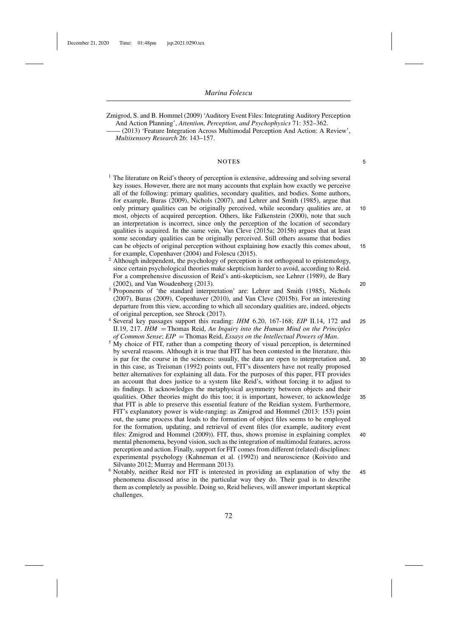Zmigrod, S. and B. Hommel (2009) 'Auditory Event Files: Integrating Auditory Perception And Action Planning', *Attention, Perception, and Psychophysics* 71: 352–362.

(2013) 'Feature Integration Across Multimodal Perception And Action: A Review', *Multisensory Research* 26: 143–157.

# notes <sup>5</sup>

- <sup>1</sup> The literature on Reid's theory of perception is extensive, addressing and solving several key issues. However, there are not many accounts that explain how exactly we perceive all of the following: primary qualities, secondary qualities, and bodies. Some authors, for example, Buras (2009), Nichols (2007), and Lehrer and Smith (1985), argue that only primary qualities can be originally perceived, while secondary qualities are, at 10 most, objects of acquired perception. Others, like Falkenstein (2000), note that such an interpretation is incorrect, since only the perception of the location of secondary qualities is acquired. In the same vein, Van Cleve (2015a; 2015b) argues that at least some secondary qualities can be originally perceived. Still others assume that bodies can be objects of original perception without explaining how exactly this comes about, 15 for example, Copenhaver (2004) and Folescu (2015).
- <sup>2</sup> Although independent, the psychology of perception is not orthogonal to epistemology, since certain psychological theories make skepticism harder to avoid, according to Reid. For a comprehensive discussion of Reid's anti-skepticism, see Lehrer (1989), de Bary (2002), and Van Woudenberg (2013). 20
- <sup>3</sup> Proponents of 'the standard interpretation' are: Lehrer and Smith (1985), Nichols (2007), Buras (2009), Copenhaver (2010), and Van Cleve (2015b). For an interesting departure from this view, according to which all secondary qualities are, indeed, objects of original perception, see Shrock (2017).
- <sup>4</sup> Several key passages support this reading: *IHM* 6.20, 167-168; *EIP* II.14, 172 and 25 II.19, 217. *IHM* = Thomas Reid, *An Inquiry into the Human Mind on the Principles*
- <sup>5</sup> My choice of FIT, rather than a competing theory of visual perception, is determined by several reasons. Although it is true that FIT has been contested in the literature, this is par for the course in the sciences: usually, the data are open to interpretation and, 30 in this case, as Treisman (1992) points out, FIT's dissenters have not really proposed better alternatives for explaining all data. For the purposes of this paper, FIT provides an account that does justice to a system like Reid's, without forcing it to adjust to its findings. It acknowledges the metaphysical asymmetry between objects and their qualities. Other theories might do this too; it is important, however, to acknowledge 35 that FIT is able to preserve this essential feature of the Reidian system. Furthermore, FIT's explanatory power is wide-ranging: as Zmigrod and Hommel (2013: 153) point out, the same process that leads to the formation of object files seems to be employed for the formation, updating, and retrieval of event files (for example, auditory event files: Zmigrod and Hommel (2009)). FIT, thus, shows promise in explaining complex 40 mental phenomena, beyond vision, such as the integration of multimodal features, across perception and action. Finally, support for FIT comes from different (related) disciplines: experimental psychology (Kahneman et al. (1992)) and neuroscience (Koivisto and Silvanto 2012; Murray and Herrmann 2013).
- <sup>6</sup> Notably, neither Reid nor FIT is interested in providing an explanation of why the 45 phenomena discussed arise in the particular way they do. Their goal is to describe them as completely as possible. Doing so, Reid believes, will answer important skeptical challenges.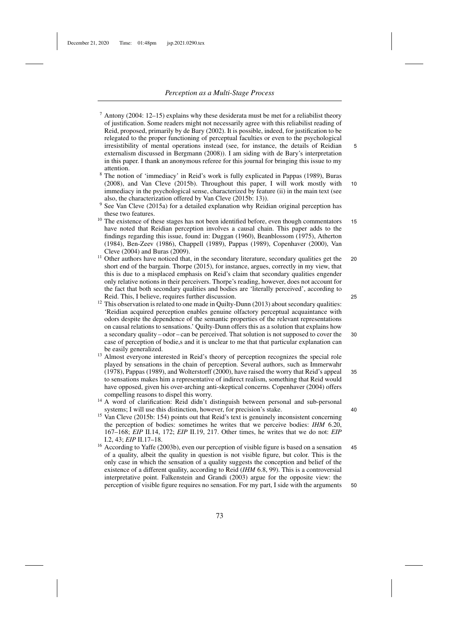$7$  Antony (2004: 12–15) explains why these desiderata must be met for a reliabilist theory of justification. Some readers might not necessarily agree with this reliabilist reading of Reid, proposed, primarily by de Bary (2002). It is possible, indeed, for justification to be relegated to the proper functioning of perceptual faculties or even to the psychological irresistibility of mental operations instead (see, for instance, the details of Reidian 5 externalism discussed in Bergmann (2008)). I am siding with de Bary's interpretation in this paper. I thank an anonymous referee for this journal for bringing this issue to my attention.

<sup>8</sup> The notion of 'immediacy' in Reid's work is fully explicated in Pappas (1989), Buras (2008), and Van Cleve (2015b). Throughout this paper, I will work mostly with 10 immediacy in the psychological sense, characterized by feature (ii) in the main text (see also, the characterization offered by Van Cleve (2015b: 13)).

- <sup>10</sup> The existence of these stages has not been identified before, even though commentators 15 have noted that Reidian perception involves a causal chain. This paper adds to the findings regarding this issue, found in: Duggan (1960), Beanblossom (1975), Atherton (1984), Ben-Zeev (1986), Chappell (1989), Pappas (1989), Copenhaver (2000), Van Cleve (2004) and Buras (2009).
- <sup>11</sup> Other authors have noticed that, in the secondary literature, secondary qualities get the 20 short end of the bargain. Thorpe (2015), for instance, argues, correctly in my view, that this is due to a misplaced emphasis on Reid's claim that secondary qualities engender only relative notions in their perceivers. Thorpe's reading, however, does not account for the fact that both secondary qualities and bodies are 'literally perceived', according to Reid. This, I believe, requires further discussion. 25
- $12$  This observation is related to one made in Quilty-Dunn (2013) about secondary qualities: 'Reidian acquired perception enables genuine olfactory perceptual acquaintance with odors despite the dependence of the semantic properties of the relevant representations on causal relations to sensations.' Quilty-Dunn offers this as a solution that explains how a secondary quality – odor – can be perceived. That solution is not supposed to cover the 30 case of perception of bodie,s and it is unclear to me that that particular explanation can be easily generalized.
- <sup>13</sup> Almost everyone interested in Reid's theory of perception recognizes the special role played by sensations in the chain of perception. Several authors, such as Immerwahr (1978), Pappas (1989), and Wolterstorff (2000), have raised the worry that Reid's appeal 35 to sensations makes him a representative of indirect realism, something that Reid would have opposed, given his over-arching anti-skeptical concerns. Copenhaver (2004) offers compelling reasons to dispel this worry.
- <sup>14</sup> A word of clarification: Reid didn't distinguish between personal and sub-personal systems; I will use this distinction, however, for precision's stake. 40
- <sup>15</sup> Van Cleve (2015b: 154) points out that Reid's text is genuinely inconsistent concerning the perception of bodies: sometimes he writes that we perceive bodies: *IHM* 6.20, 167–168; *EIP* II.14, 172; *EIP* II.19, 217. Other times, he writes that we do not: *EIP* I.2, 43; *EIP* II.17–18.
- <sup>16</sup> According to Yaffe (2003b), even our perception of visible figure is based on a sensation 45 of a quality, albeit the quality in question is not visible figure, but color. This is the only case in which the sensation of a quality suggests the conception and belief of the existence of a different quality, according to Reid (*IHM* 6.8, 99). This is a controversial interpretative point. Falkenstein and Grandi (2003) argue for the opposite view: the perception of visible figure requires no sensation. For my part, I side with the arguments 50

<sup>9</sup> See Van Cleve (2015a) for a detailed explanation why Reidian original perception has these two features.